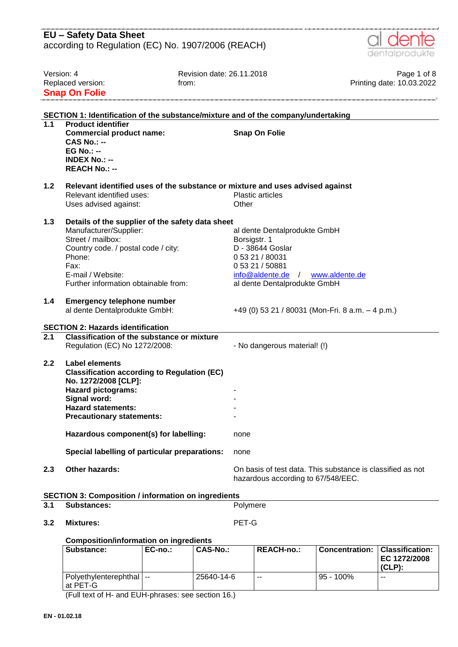|                  | <b>EU - Safety Data Sheet</b><br>according to Regulation (EC) No. 1907/2006 (REACH)                                                                                                                                   |                                                                                                                                                               | dentalprodukte                           |
|------------------|-----------------------------------------------------------------------------------------------------------------------------------------------------------------------------------------------------------------------|---------------------------------------------------------------------------------------------------------------------------------------------------------------|------------------------------------------|
|                  | Version: 4<br>Replaced version:<br><b>Snap On Folie</b>                                                                                                                                                               | Revision date: 26.11.2018<br>from:                                                                                                                            | Page 1 of 8<br>Printing date: 10.03.2022 |
|                  |                                                                                                                                                                                                                       | SECTION 1: Identification of the substance/mixture and of the company/undertaking                                                                             |                                          |
| 1.1              | <b>Product identifier</b><br><b>Commercial product name:</b><br><b>CAS No.: --</b><br>$EG No.: -$<br><b>INDEX No.: --</b><br><b>REACH No.: --</b>                                                                     | <b>Snap On Folie</b>                                                                                                                                          |                                          |
| 1.2              | Relevant identified uses:<br>Uses advised against:                                                                                                                                                                    | Relevant identified uses of the substance or mixture and uses advised against<br><b>Plastic articles</b><br>Other                                             |                                          |
| 1.3              | Details of the supplier of the safety data sheet<br>Manufacturer/Supplier:<br>Street / mailbox:<br>Country code. / postal code / city:<br>Phone:<br>Fax:<br>E-mail / Website:<br>Further information obtainable from: | al dente Dentalprodukte GmbH<br>Borsigstr. 1<br>D - 38644 Goslar<br>0 53 21 / 80031<br>0 53 21 / 50881<br>$info@aldente.de$ /<br>al dente Dentalprodukte GmbH | www.aldente.de                           |
| 1.4              | <b>Emergency telephone number</b><br>al dente Dentalprodukte GmbH:                                                                                                                                                    | +49 (0) 53 21 / 80031 (Mon-Fri. 8 a.m. - 4 p.m.)                                                                                                              |                                          |
|                  | <b>SECTION 2: Hazards identification</b>                                                                                                                                                                              |                                                                                                                                                               |                                          |
| $\overline{2.1}$ | <b>Classification of the substance or mixture</b><br>Regulation (EC) No 1272/2008:                                                                                                                                    | - No dangerous material! (!)                                                                                                                                  |                                          |
| 2.2              | Label elements<br><b>Classification according to Regulation (EC)</b><br>No. 1272/2008 [CLP]:<br><b>Hazard pictograms:</b><br>Signal word:<br><b>Hazard statements:</b><br><b>Precautionary statements:</b>            |                                                                                                                                                               |                                          |
|                  | Hazardous component(s) for labelling:                                                                                                                                                                                 | none                                                                                                                                                          |                                          |
|                  | Special labelling of particular preparations:                                                                                                                                                                         | none                                                                                                                                                          |                                          |
| 2.3              | Other hazards:                                                                                                                                                                                                        | On basis of test data. This substance is classified as not<br>hazardous according to 67/548/EEC.                                                              |                                          |
|                  | <b>SECTION 3: Composition / information on ingredients</b>                                                                                                                                                            |                                                                                                                                                               |                                          |
| 3.1              | <b>Substances:</b>                                                                                                                                                                                                    | Polymere                                                                                                                                                      |                                          |
| 3.2              | <b>Mixtures:</b>                                                                                                                                                                                                      | PET-G                                                                                                                                                         |                                          |

### **Composition/information on ingredients**

| Substance:                               | EC-no.: | CAS-No.:   | <b>REACH-no.:</b> | Concentration:   Classification: | EC 1272/2008<br>$(CLP)$ : |
|------------------------------------------|---------|------------|-------------------|----------------------------------|---------------------------|
| Polyethylenterephthal   --<br>l at PET-G |         | 25640-14-6 | $- -$             | $95 - 100\%$                     | $-$                       |

(Full text of H- and EUH-phrases: see section 16.)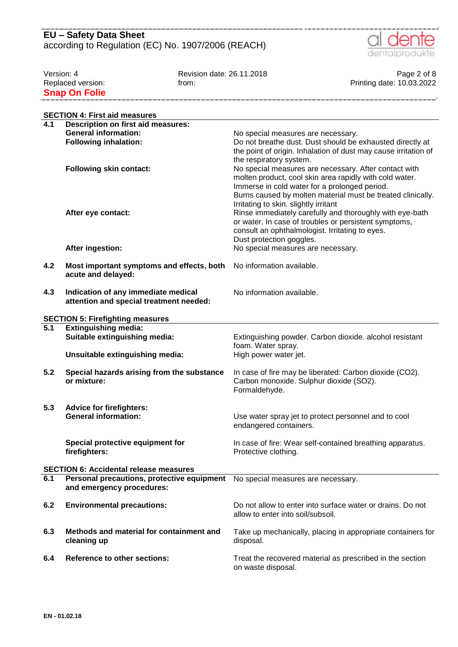

Version: 4 Page 2 of 8<br>Replaced version: 10.03.2022 From: 1 Replaced version: 10.03.2022 from: From: Frinting date: 10.03.2022 **Snap On Folie** 

|     | <b>SECTION 4: First aid measures</b>          |                                                                                                   |
|-----|-----------------------------------------------|---------------------------------------------------------------------------------------------------|
| 4.1 | <b>Description on first aid measures:</b>     |                                                                                                   |
|     | <b>General information:</b>                   | No special measures are necessary.                                                                |
|     | <b>Following inhalation:</b>                  | Do not breathe dust. Dust should be exhausted directly at                                         |
|     |                                               | the point of origin. Inhalation of dust may cause irritation of                                   |
|     |                                               | the respiratory system.                                                                           |
|     | <b>Following skin contact:</b>                | No special measures are necessary. After contact with                                             |
|     |                                               | molten product, cool skin area rapidly with cold water.                                           |
|     |                                               | Immerse in cold water for a prolonged period.                                                     |
|     |                                               | Burns caused by molten material must be treated clinically.                                       |
|     |                                               | Irritating to skin. slightly irritant<br>Rinse immediately carefully and thoroughly with eye-bath |
|     | After eye contact:                            | or water. In case of troubles or persistent symptoms,                                             |
|     |                                               | consult an ophthalmologist. Irritating to eyes.                                                   |
|     |                                               | Dust protection goggles.                                                                          |
|     | After ingestion:                              | No special measures are necessary.                                                                |
|     |                                               |                                                                                                   |
| 4.2 | Most important symptoms and effects, both     | No information available.                                                                         |
|     | acute and delayed:                            |                                                                                                   |
|     |                                               |                                                                                                   |
| 4.3 | Indication of any immediate medical           | No information available.                                                                         |
|     | attention and special treatment needed:       |                                                                                                   |
|     | <b>SECTION 5: Firefighting measures</b>       |                                                                                                   |
| 5.1 | <b>Extinguishing media:</b>                   |                                                                                                   |
|     | Suitable extinguishing media:                 | Extinguishing powder. Carbon dioxide. alcohol resistant                                           |
|     |                                               | foam. Water spray.                                                                                |
|     | Unsuitable extinguishing media:               | High power water jet.                                                                             |
| 5.2 | Special hazards arising from the substance    | In case of fire may be liberated: Carbon dioxide (CO2).                                           |
|     | or mixture:                                   | Carbon monoxide. Sulphur dioxide (SO2).                                                           |
|     |                                               | Formaldehyde.                                                                                     |
|     |                                               |                                                                                                   |
| 5.3 | <b>Advice for firefighters:</b>               |                                                                                                   |
|     | <b>General information:</b>                   | Use water spray jet to protect personnel and to cool                                              |
|     |                                               | endangered containers.                                                                            |
|     |                                               |                                                                                                   |
|     | Special protective equipment for              | In case of fire: Wear self-contained breathing apparatus.                                         |
|     | firefighters:                                 | Protective clothing.                                                                              |
|     | <b>SECTION 6: Accidental release measures</b> |                                                                                                   |
| 6.1 | Personal precautions, protective equipment    | No special measures are necessary.                                                                |
|     | and emergency procedures:                     |                                                                                                   |
|     |                                               |                                                                                                   |
| 6.2 | <b>Environmental precautions:</b>             | Do not allow to enter into surface water or drains. Do not                                        |
|     |                                               | allow to enter into soil/subsoil.                                                                 |
| 6.3 | Methods and material for containment and      |                                                                                                   |
|     | cleaning up                                   | Take up mechanically, placing in appropriate containers for<br>disposal.                          |
|     |                                               |                                                                                                   |
| 6.4 | <b>Reference to other sections:</b>           | Treat the recovered material as prescribed in the section                                         |
|     |                                               | on waste disposal.                                                                                |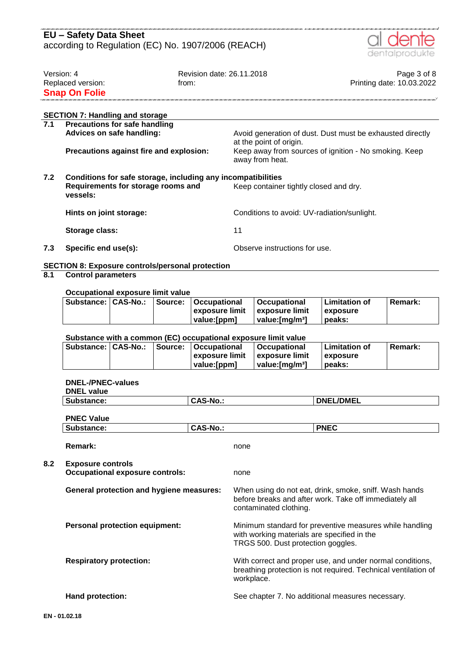

| Version: 4           | Revision date: 26.11.2018 | Page 3 of 8               |
|----------------------|---------------------------|---------------------------|
| Replaced version:    | trom:                     | Printing date: 10.03.2022 |
| <b>Snap On Folie</b> |                           |                           |
|                      |                           |                           |

| 7.1 | <b>SECTION 7: Handling and storage</b><br><b>Precautions for safe handling</b>                                 |                                                                                      |
|-----|----------------------------------------------------------------------------------------------------------------|--------------------------------------------------------------------------------------|
|     | Advices on safe handling:                                                                                      | Avoid generation of dust. Dust must be exhausted directly<br>at the point of origin. |
|     | Precautions against fire and explosion:                                                                        | Keep away from sources of ignition - No smoking. Keep<br>away from heat.             |
| 7.2 | Conditions for safe storage, including any incompatibilities<br>Requirements for storage rooms and<br>vessels: | Keep container tightly closed and dry.                                               |
|     | Hints on joint storage:                                                                                        | Conditions to avoid: UV-radiation/sunlight.                                          |
|     | Storage class:                                                                                                 | 11                                                                                   |

**7.3 Specific end use(s):** Observe instructions for use.

#### **SECTION 8: Exposure controls/personal protection**

### **8.1 Control parameters**

#### **Occupational exposure limit value**

|  | Substance:   CAS-No.:   Source:   Occupational | <b>∣Occupational</b>        | l Limitation of | <b>Remark:</b> |
|--|------------------------------------------------|-----------------------------|-----------------|----------------|
|  | l exposure limit                               | <b>⊥exposure limit</b>      | <b>exposure</b> |                |
|  | value:[ppm]                                    | value: [mɑ/m <sup>3</sup> ] | peaks:          |                |

### **Substance with a common (EC) occupational exposure limit value**

|  | Substance:   CAS-No.:   Source:   Occupational | Occupational    | <b>Limitation of</b> | Remark: |
|--|------------------------------------------------|-----------------|----------------------|---------|
|  | ∣exposure limit ∣exposure limit                |                 | exposure             |         |
|  | value: [ppm]                                   | ∣ value:ſmɑ/mªl | peaks:               |         |

### **DNEL-/PNEC-values**

| Substance:                                                         | <b>CAS-No.:</b> |                                                                                                                                           | <b>DNEL/DMEL</b>                                                                                                 |
|--------------------------------------------------------------------|-----------------|-------------------------------------------------------------------------------------------------------------------------------------------|------------------------------------------------------------------------------------------------------------------|
| <b>PNEC Value</b>                                                  |                 |                                                                                                                                           |                                                                                                                  |
| Substance:                                                         | <b>CAS-No.:</b> |                                                                                                                                           | <b>PNEC</b>                                                                                                      |
| Remark:                                                            |                 | none                                                                                                                                      |                                                                                                                  |
| <b>Exposure controls</b><br><b>Occupational exposure controls:</b> |                 | none                                                                                                                                      |                                                                                                                  |
| <b>General protection and hygiene measures:</b>                    |                 | contaminated clothing.                                                                                                                    | When using do not eat, drink, smoke, sniff. Wash hands<br>before breaks and after work. Take off immediately all |
| <b>Personal protection equipment:</b>                              |                 | with working materials are specified in the<br>TRGS 500. Dust protection goggles.                                                         | Minimum standard for preventive measures while handling                                                          |
| <b>Respiratory protection:</b>                                     |                 | With correct and proper use, and under normal conditions,<br>breathing protection is not required. Technical ventilation of<br>workplace. |                                                                                                                  |
| <b>Hand protection:</b>                                            |                 |                                                                                                                                           | See chapter 7. No additional measures necessary.                                                                 |

**8.2 Exposure controls**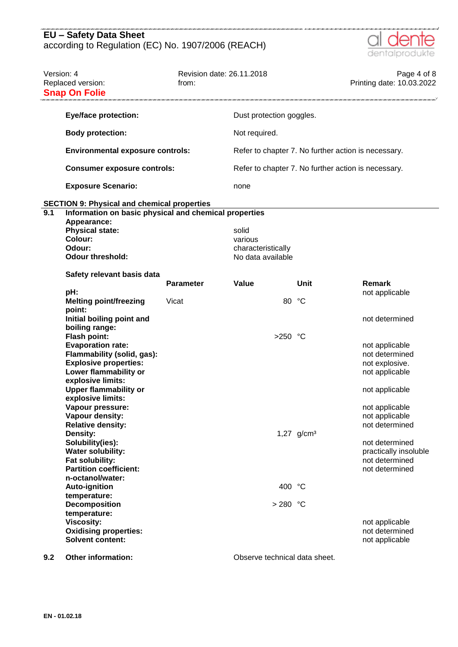

| Version: 4       | Replaced version:<br><b>Snap On Folie</b>                                                                                                                                                                                                                                                                                                                                                                                                                                                      | Revision date: 26.11.2018<br>from: |                                                             |                 | Page 4 of 8<br>Printing date: 10.03.2022                                                                                                                                                                                                      |
|------------------|------------------------------------------------------------------------------------------------------------------------------------------------------------------------------------------------------------------------------------------------------------------------------------------------------------------------------------------------------------------------------------------------------------------------------------------------------------------------------------------------|------------------------------------|-------------------------------------------------------------|-----------------|-----------------------------------------------------------------------------------------------------------------------------------------------------------------------------------------------------------------------------------------------|
|                  | <b>Eye/face protection:</b>                                                                                                                                                                                                                                                                                                                                                                                                                                                                    |                                    | Dust protection goggles.                                    |                 |                                                                                                                                                                                                                                               |
|                  | <b>Body protection:</b>                                                                                                                                                                                                                                                                                                                                                                                                                                                                        |                                    | Not required.                                               |                 |                                                                                                                                                                                                                                               |
|                  | <b>Environmental exposure controls:</b>                                                                                                                                                                                                                                                                                                                                                                                                                                                        |                                    | Refer to chapter 7. No further action is necessary.         |                 |                                                                                                                                                                                                                                               |
|                  | <b>Consumer exposure controls:</b>                                                                                                                                                                                                                                                                                                                                                                                                                                                             |                                    | Refer to chapter 7. No further action is necessary.         |                 |                                                                                                                                                                                                                                               |
|                  | <b>Exposure Scenario:</b>                                                                                                                                                                                                                                                                                                                                                                                                                                                                      |                                    | none                                                        |                 |                                                                                                                                                                                                                                               |
|                  | <b>SECTION 9: Physical and chemical properties</b>                                                                                                                                                                                                                                                                                                                                                                                                                                             |                                    |                                                             |                 |                                                                                                                                                                                                                                               |
| $\overline{9.1}$ | Information on basic physical and chemical properties<br>Appearance:<br><b>Physical state:</b><br><b>Colour:</b><br>Odour:<br><b>Odour threshold:</b>                                                                                                                                                                                                                                                                                                                                          |                                    | solid<br>various<br>characteristically<br>No data available |                 |                                                                                                                                                                                                                                               |
|                  | Safety relevant basis data                                                                                                                                                                                                                                                                                                                                                                                                                                                                     | <b>Parameter</b>                   | Value                                                       | Unit            | Remark                                                                                                                                                                                                                                        |
|                  | pH:<br><b>Melting point/freezing</b><br>point:                                                                                                                                                                                                                                                                                                                                                                                                                                                 | Vicat                              | 80                                                          | °C              | not applicable                                                                                                                                                                                                                                |
|                  | Initial boiling point and<br>boiling range:<br><b>Flash point:</b><br><b>Evaporation rate:</b><br>Flammability (solid, gas):<br><b>Explosive properties:</b><br>Lower flammability or<br>explosive limits:<br><b>Upper flammability or</b><br>explosive limits:<br>Vapour pressure:<br>Vapour density:<br><b>Relative density:</b><br>Density:<br>Solubility(ies):<br><b>Water solubility:</b><br>Fat solubility:<br><b>Partition coefficient:</b><br>n-octanol/water:<br><b>Auto-ignition</b> |                                    | >250 °C<br>400 °C                                           | 1,27 $g/cm^{3}$ | not determined<br>not applicable<br>not determined<br>not explosive.<br>not applicable<br>not applicable<br>not applicable<br>not applicable<br>not determined<br>not determined<br>practically insoluble<br>not determined<br>not determined |
|                  | temperature:<br>Decomposition                                                                                                                                                                                                                                                                                                                                                                                                                                                                  |                                    | $>280$ °C                                                   |                 |                                                                                                                                                                                                                                               |
|                  | temperature:<br><b>Viscosity:</b><br><b>Oxidising properties:</b><br><b>Solvent content:</b>                                                                                                                                                                                                                                                                                                                                                                                                   |                                    |                                                             |                 | not applicable<br>not determined<br>not applicable                                                                                                                                                                                            |

**9.2 Other information: Observe technical data sheet.**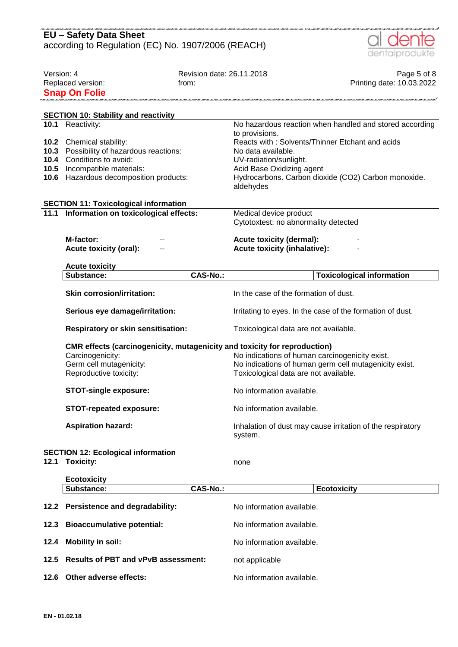|            | <b>EU - Safety Data Sheet</b>                                             |                           |                                                                                                |
|------------|---------------------------------------------------------------------------|---------------------------|------------------------------------------------------------------------------------------------|
|            | according to Regulation (EC) No. 1907/2006 (REACH)                        |                           | dentalprodukte                                                                                 |
| Version: 4 |                                                                           | Revision date: 26.11.2018 | Page 5 of 8                                                                                    |
|            | Replaced version:                                                         | from:                     | Printing date: 10.03.2022                                                                      |
|            | <b>Snap On Folie</b>                                                      |                           |                                                                                                |
|            |                                                                           |                           |                                                                                                |
|            | <b>SECTION 10: Stability and reactivity</b><br>10.1 Reactivity:           |                           | No hazardous reaction when handled and stored according                                        |
|            |                                                                           |                           | to provisions.                                                                                 |
|            | 10.2 Chemical stability:                                                  |                           | Reacts with: Solvents/Thinner Etchant and acids                                                |
| 10.3       | Possibility of hazardous reactions:                                       |                           | No data available.                                                                             |
| 10.4       | Conditions to avoid:                                                      |                           | UV-radiation/sunlight.                                                                         |
| 10.5       | Incompatible materials:<br>10.6 Hazardous decomposition products:         |                           | Acid Base Oxidizing agent<br>Hydrocarbons. Carbon dioxide (CO2) Carbon monoxide.               |
|            |                                                                           |                           | aldehydes                                                                                      |
|            | <b>SECTION 11: Toxicological information</b>                              |                           |                                                                                                |
| 11.1       | Information on toxicological effects:                                     |                           | Medical device product                                                                         |
|            |                                                                           |                           | Cytotoxtest: no abnormality detected                                                           |
|            | M-factor:                                                                 |                           | <b>Acute toxicity (dermal):</b>                                                                |
|            | <b>Acute toxicity (oral):</b>                                             |                           | <b>Acute toxicity (inhalative):</b>                                                            |
|            | <b>Acute toxicity</b>                                                     |                           |                                                                                                |
|            | Substance:                                                                | <b>CAS-No.:</b>           | <b>Toxicological information</b>                                                               |
|            | <b>Skin corrosion/irritation:</b>                                         |                           | In the case of the formation of dust.                                                          |
|            | Serious eye damage/irritation:                                            |                           | Irritating to eyes. In the case of the formation of dust.                                      |
|            | <b>Respiratory or skin sensitisation:</b>                                 |                           | Toxicological data are not available.                                                          |
|            | CMR effects (carcinogenicity, mutagenicity and toxicity for reproduction) |                           |                                                                                                |
|            | Carcinogenicity:                                                          |                           | No indications of human carcinogenicity exist.                                                 |
|            | Germ cell mutagenicity:<br>Reproductive toxicity:                         |                           | No indications of human germ cell mutagenicity exist.<br>Toxicological data are not available. |
|            |                                                                           |                           |                                                                                                |
|            | <b>STOT-single exposure:</b>                                              |                           | No information available.                                                                      |
|            | <b>STOT-repeated exposure:</b>                                            |                           | No information available.                                                                      |
|            | <b>Aspiration hazard:</b>                                                 |                           | Inhalation of dust may cause irritation of the respiratory<br>system.                          |
|            | <b>SECTION 12: Ecological information</b>                                 |                           |                                                                                                |
| 12.1       | <b>Toxicity:</b>                                                          |                           | none                                                                                           |
|            |                                                                           |                           |                                                                                                |
|            | <b>Ecotoxicity</b><br>Substance:                                          | <b>CAS-No.:</b>           | <b>Ecotoxicity</b>                                                                             |
|            |                                                                           |                           |                                                                                                |
|            | 12.2 Persistence and degradability:                                       |                           | No information available.                                                                      |
| 12.3       | <b>Bioaccumulative potential:</b>                                         |                           | No information available.                                                                      |
| 12.4       | <b>Mobility in soil:</b>                                                  |                           | No information available.                                                                      |
| 12.5       | <b>Results of PBT and vPvB assessment:</b>                                |                           | not applicable                                                                                 |

**12.6 Other adverse effects:** No information available.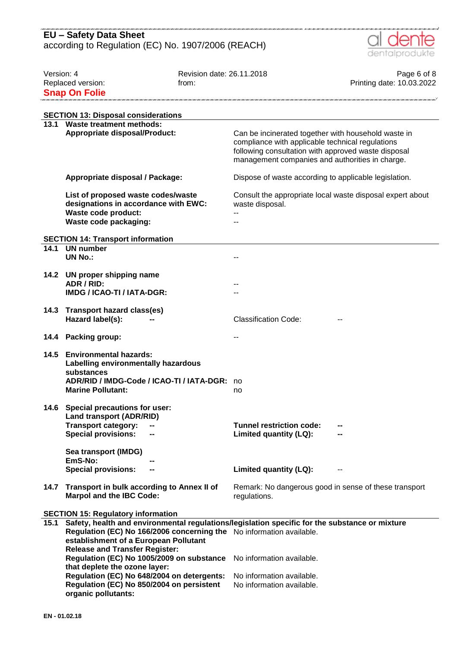

| Version: 4 |                                                                                                | Revision date: 26.11.2018 |                                                       | Page 6 of 8                                               |
|------------|------------------------------------------------------------------------------------------------|---------------------------|-------------------------------------------------------|-----------------------------------------------------------|
|            | Replaced version:                                                                              | from:                     |                                                       | Printing date: 10.03.2022                                 |
|            | <b>Snap On Folie</b>                                                                           |                           |                                                       |                                                           |
|            |                                                                                                |                           |                                                       |                                                           |
|            | <b>SECTION 13: Disposal considerations</b>                                                     |                           |                                                       |                                                           |
|            | 13.1 Waste treatment methods:                                                                  |                           |                                                       |                                                           |
|            | <b>Appropriate disposal/Product:</b>                                                           |                           | Can be incinerated together with household waste in   |                                                           |
|            |                                                                                                |                           | compliance with applicable technical regulations      |                                                           |
|            |                                                                                                |                           | following consultation with approved waste disposal   |                                                           |
|            |                                                                                                |                           | management companies and authorities in charge.       |                                                           |
|            | Appropriate disposal / Package:                                                                |                           | Dispose of waste according to applicable legislation. |                                                           |
|            |                                                                                                |                           |                                                       |                                                           |
|            | List of proposed waste codes/waste                                                             |                           |                                                       | Consult the appropriate local waste disposal expert about |
|            | designations in accordance with EWC:                                                           |                           | waste disposal.                                       |                                                           |
|            | Waste code product:                                                                            |                           |                                                       |                                                           |
|            | Waste code packaging:                                                                          |                           |                                                       |                                                           |
|            |                                                                                                |                           |                                                       |                                                           |
| 14.1       | <b>SECTION 14: Transport information</b><br><b>UN</b> number                                   |                           |                                                       |                                                           |
|            | <b>UN No.:</b>                                                                                 |                           |                                                       |                                                           |
|            |                                                                                                |                           |                                                       |                                                           |
| 14.2       | UN proper shipping name                                                                        |                           |                                                       |                                                           |
|            | ADR / RID:                                                                                     |                           |                                                       |                                                           |
|            | IMDG / ICAO-TI / IATA-DGR:                                                                     |                           |                                                       |                                                           |
|            |                                                                                                |                           |                                                       |                                                           |
| 14.3       | <b>Transport hazard class(es)</b>                                                              |                           |                                                       |                                                           |
|            | Hazard label(s):                                                                               |                           | <b>Classification Code:</b>                           |                                                           |
| 14.4       | <b>Packing group:</b>                                                                          |                           |                                                       |                                                           |
|            |                                                                                                |                           |                                                       |                                                           |
| 14.5       | <b>Environmental hazards:</b>                                                                  |                           |                                                       |                                                           |
|            | Labelling environmentally hazardous                                                            |                           |                                                       |                                                           |
|            | substances                                                                                     |                           |                                                       |                                                           |
|            | ADR/RID / IMDG-Code / ICAO-TI / IATA-DGR:                                                      |                           | no                                                    |                                                           |
|            | <b>Marine Pollutant:</b>                                                                       |                           | no                                                    |                                                           |
|            | 14.6 Special precautions for user:                                                             |                           |                                                       |                                                           |
|            | <b>Land transport (ADR/RID)</b>                                                                |                           |                                                       |                                                           |
|            | <b>Transport category:</b>                                                                     |                           | <b>Tunnel restriction code:</b>                       |                                                           |
|            | <b>Special provisions:</b>                                                                     |                           | Limited quantity (LQ):                                |                                                           |
|            |                                                                                                |                           |                                                       |                                                           |
|            | Sea transport (IMDG)                                                                           |                           |                                                       |                                                           |
|            | EmS-No:                                                                                        |                           |                                                       |                                                           |
|            | <b>Special provisions:</b>                                                                     |                           | Limited quantity (LQ):                                |                                                           |
| 14.7       | Transport in bulk according to Annex II of                                                     |                           | Remark: No dangerous good in sense of these transport |                                                           |
|            | <b>Marpol and the IBC Code:</b>                                                                |                           | regulations.                                          |                                                           |
|            |                                                                                                |                           |                                                       |                                                           |
|            | <b>SECTION 15: Regulatory information</b>                                                      |                           |                                                       |                                                           |
| 15.1       | Safety, health and environmental regulations/legislation specific for the substance or mixture |                           |                                                       |                                                           |
|            | Regulation (EC) No 166/2006 concerning the No information available.                           |                           |                                                       |                                                           |
|            | establishment of a European Pollutant                                                          |                           |                                                       |                                                           |
|            | <b>Release and Transfer Register:</b>                                                          |                           |                                                       |                                                           |
|            | Regulation (EC) No 1005/2009 on substance<br>that deplete the ozone layer:                     |                           | No information available.                             |                                                           |
|            | Regulation (EC) No 648/2004 on detergents:                                                     |                           | No information available.                             |                                                           |
|            | Regulation (EC) No 850/2004 on persistent                                                      |                           | No information available.                             |                                                           |
|            | organic pollutants:                                                                            |                           |                                                       |                                                           |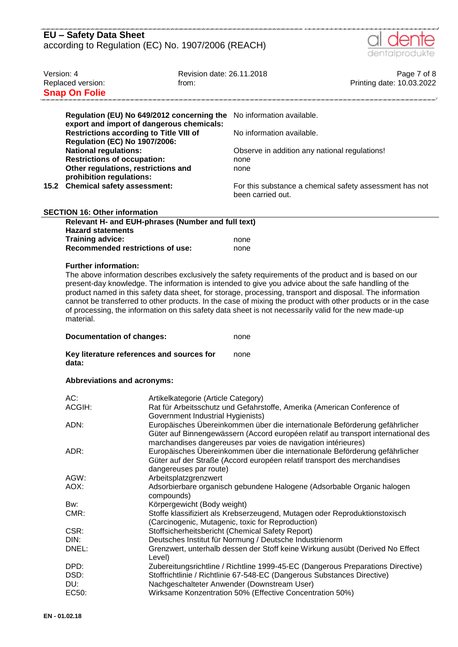| <b>EU</b> – Safety Data Sheet                      |  |
|----------------------------------------------------|--|
| according to Regulation (EC) No. 1907/2006 (REACH) |  |



| Version: 4                                                                                 | Replaced version:<br><b>Snap On Folie</b>                                                                                                                                                                                                                                                                                                                                                                                                                                                                                                                                                                                                                                                                   | Revision date: 26.11.2018<br>from:                                                                                                                                                                                                                 |                                                                                                                                                                  | Page 7 of 8<br>Printing date: 10.03.2022 |  |  |
|--------------------------------------------------------------------------------------------|-------------------------------------------------------------------------------------------------------------------------------------------------------------------------------------------------------------------------------------------------------------------------------------------------------------------------------------------------------------------------------------------------------------------------------------------------------------------------------------------------------------------------------------------------------------------------------------------------------------------------------------------------------------------------------------------------------------|----------------------------------------------------------------------------------------------------------------------------------------------------------------------------------------------------------------------------------------------------|------------------------------------------------------------------------------------------------------------------------------------------------------------------|------------------------------------------|--|--|
|                                                                                            | Regulation (EU) No 649/2012 concerning the<br>export and import of dangerous chemicals:<br><b>Restrictions according to Title VIII of</b><br><b>Regulation (EC) No 1907/2006:</b><br><b>National regulations:</b>                                                                                                                                                                                                                                                                                                                                                                                                                                                                                           |                                                                                                                                                                                                                                                    | No information available.<br>No information available.<br>Observe in addition any national regulations!                                                          |                                          |  |  |
|                                                                                            | <b>Restrictions of occupation:</b><br>Other regulations, restrictions and<br>prohibition regulations:<br>15.2 Chemical safety assessment:                                                                                                                                                                                                                                                                                                                                                                                                                                                                                                                                                                   |                                                                                                                                                                                                                                                    | none<br>none<br>For this substance a chemical safety assessment has not<br>been carried out.                                                                     |                                          |  |  |
| <b>SECTION 16: Other information</b><br>Relevant H- and EUH-phrases (Number and full text) |                                                                                                                                                                                                                                                                                                                                                                                                                                                                                                                                                                                                                                                                                                             |                                                                                                                                                                                                                                                    |                                                                                                                                                                  |                                          |  |  |
|                                                                                            | <b>Hazard statements</b><br>Training advice:<br><b>Recommended restrictions of use:</b>                                                                                                                                                                                                                                                                                                                                                                                                                                                                                                                                                                                                                     |                                                                                                                                                                                                                                                    | none<br>none                                                                                                                                                     |                                          |  |  |
|                                                                                            | <b>Further information:</b><br>The above information describes exclusively the safety requirements of the product and is based on our<br>present-day knowledge. The information is intended to give you advice about the safe handling of the<br>product named in this safety data sheet, for storage, processing, transport and disposal. The information<br>cannot be transferred to other products. In the case of mixing the product with other products or in the case<br>of processing, the information on this safety data sheet is not necessarily valid for the new made-up<br>material.<br><b>Documentation of changes:</b><br>none<br>Key literature references and sources for<br>none<br>data: |                                                                                                                                                                                                                                                    |                                                                                                                                                                  |                                          |  |  |
|                                                                                            |                                                                                                                                                                                                                                                                                                                                                                                                                                                                                                                                                                                                                                                                                                             |                                                                                                                                                                                                                                                    |                                                                                                                                                                  |                                          |  |  |
|                                                                                            | <b>Abbreviations and acronyms:</b>                                                                                                                                                                                                                                                                                                                                                                                                                                                                                                                                                                                                                                                                          |                                                                                                                                                                                                                                                    |                                                                                                                                                                  |                                          |  |  |
|                                                                                            | AC:<br>ACGIH:                                                                                                                                                                                                                                                                                                                                                                                                                                                                                                                                                                                                                                                                                               | Artikelkategorie (Article Category)<br>Rat für Arbeitsschutz und Gefahrstoffe, Amerika (American Conference of<br>Government Industrial Hygienists)                                                                                                |                                                                                                                                                                  |                                          |  |  |
|                                                                                            | ADN:                                                                                                                                                                                                                                                                                                                                                                                                                                                                                                                                                                                                                                                                                                        |                                                                                                                                                                                                                                                    | Europäisches Übereinkommen über die internationale Beförderung gefährlicher<br>Güter auf Binnengewässern (Accord européen relatif au transport international des |                                          |  |  |
|                                                                                            | ADR:                                                                                                                                                                                                                                                                                                                                                                                                                                                                                                                                                                                                                                                                                                        | marchandises dangereuses par voies de navigation intérieures)<br>Europäisches Übereinkommen über die internationale Beförderung gefährlicher<br>Güter auf der Straße (Accord européen relatif transport des merchandises<br>dangereuses par route) |                                                                                                                                                                  |                                          |  |  |
|                                                                                            | AGW:                                                                                                                                                                                                                                                                                                                                                                                                                                                                                                                                                                                                                                                                                                        | Arbeitsplatzgrenzwert                                                                                                                                                                                                                              |                                                                                                                                                                  |                                          |  |  |
|                                                                                            | AOX:                                                                                                                                                                                                                                                                                                                                                                                                                                                                                                                                                                                                                                                                                                        | Adsorbierbare organisch gebundene Halogene (Adsorbable Organic halogen                                                                                                                                                                             |                                                                                                                                                                  |                                          |  |  |
|                                                                                            |                                                                                                                                                                                                                                                                                                                                                                                                                                                                                                                                                                                                                                                                                                             | compounds)                                                                                                                                                                                                                                         |                                                                                                                                                                  |                                          |  |  |
|                                                                                            | Bw:                                                                                                                                                                                                                                                                                                                                                                                                                                                                                                                                                                                                                                                                                                         |                                                                                                                                                                                                                                                    |                                                                                                                                                                  |                                          |  |  |
|                                                                                            | CMR:                                                                                                                                                                                                                                                                                                                                                                                                                                                                                                                                                                                                                                                                                                        | Körpergewicht (Body weight)<br>Stoffe klassifiziert als Krebserzeugend, Mutagen oder Reproduktionstoxisch<br>(Carcinogenic, Mutagenic, toxic for Reproduction)                                                                                     |                                                                                                                                                                  |                                          |  |  |
|                                                                                            | CSR:                                                                                                                                                                                                                                                                                                                                                                                                                                                                                                                                                                                                                                                                                                        |                                                                                                                                                                                                                                                    | Stoffsicherheitsbericht (Chemical Safety Report)                                                                                                                 |                                          |  |  |
|                                                                                            | Deutsches Institut für Normung / Deutsche Industrienorm<br>DIN:                                                                                                                                                                                                                                                                                                                                                                                                                                                                                                                                                                                                                                             |                                                                                                                                                                                                                                                    |                                                                                                                                                                  |                                          |  |  |
|                                                                                            | DNEL:                                                                                                                                                                                                                                                                                                                                                                                                                                                                                                                                                                                                                                                                                                       | Level)                                                                                                                                                                                                                                             | Grenzwert, unterhalb dessen der Stoff keine Wirkung ausübt (Derived No Effect                                                                                    |                                          |  |  |